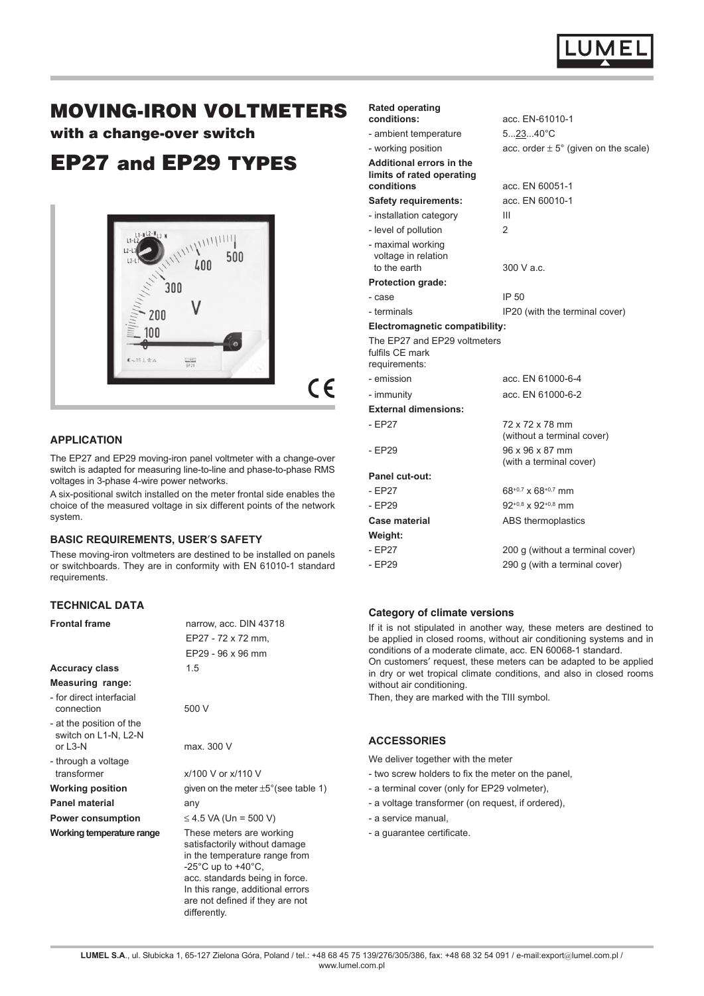

# MOVING-IRON VOLTMETERS

with a change-over switch

# EP27 and EP29 TYPES



 $\epsilon$ 

# **APPLICATION**

The EP27 and EP29 moving-iron panel voltmeter with a change-over switch is adapted for measuring line-to-line and phase-to-phase RMS voltages in 3-phase 4-wire power networks.

A six-positional switch installed on the meter frontal side enables the choice of the measured voltage in six different points of the network system.

### **BASIC REQUIREMENTS, USERS SAFETY**

These moving-iron voltmeters are destined to be installed on panels or switchboards. They are in conformity with EN 61010-1 standard requirements.

## **TECHNICAL DATA**

| <b>Frontal frame</b>                                           | narrow, acc. DIN 43718                                                                                                                                                                                                    |
|----------------------------------------------------------------|---------------------------------------------------------------------------------------------------------------------------------------------------------------------------------------------------------------------------|
|                                                                | EP27 - 72 x 72 mm,                                                                                                                                                                                                        |
|                                                                | EP29 - 96 x 96 mm                                                                                                                                                                                                         |
| <b>Accuracy class</b>                                          | 1.5                                                                                                                                                                                                                       |
| <b>Measuring range:</b>                                        |                                                                                                                                                                                                                           |
| - for direct interfacial<br>connection                         | 500 V                                                                                                                                                                                                                     |
| - at the position of the<br>switch on L1-N, L2-N<br>or $1.3-N$ | max. 300 V                                                                                                                                                                                                                |
| - through a voltage                                            |                                                                                                                                                                                                                           |
| transformer                                                    | $x/100$ V or $x/110$ V                                                                                                                                                                                                    |
| <b>Working position</b>                                        | given on the meter $\pm 5^{\circ}$ (see table 1)                                                                                                                                                                          |
| Panel material                                                 | any                                                                                                                                                                                                                       |
| <b>Power consumption</b>                                       | ≤ 4.5 VA (Un = 500 V)                                                                                                                                                                                                     |
| Working temperature range                                      | These meters are working<br>satisfactorily without damage<br>in the temperature range from<br>-25°C up to +40°C,<br>acc. standards being in force.<br>In this range, additional errors<br>are not defined if they are not |

differently.

| <b>Rated operating</b>                                              |                                               |
|---------------------------------------------------------------------|-----------------------------------------------|
| conditions:                                                         | acc. EN-61010-1                               |
| - ambient temperature                                               | $52340^{\circ}C$                              |
| - working position                                                  | acc. order $\pm$ 5° (given on the scale)      |
| Additional errors in the<br>limits of rated operating<br>conditions | acc. EN 60051-1                               |
| <b>Safety requirements:</b>                                         | acc. EN 60010-1                               |
| - installation category                                             | Ш                                             |
| - level of pollution                                                | $\mathcal{P}$                                 |
| - maximal working<br>voltage in relation<br>to the earth            | 300 V a.c.                                    |
| <b>Protection grade:</b>                                            |                                               |
| - case                                                              | IP 50                                         |
| - terminals                                                         | IP20 (with the terminal cover)                |
| <b>Electromagnetic compatibility:</b>                               |                                               |
| The EP27 and EP29 voltmeters<br>fulfils CE mark<br>requirements:    |                                               |
| - emission                                                          | acc. EN 61000-6-4                             |
| - immunity                                                          | acc. EN 61000-6-2                             |
| <b>External dimensions:</b>                                         |                                               |
| - EP27                                                              | 72 x 72 x 78 mm<br>(without a terminal cover) |
| - EP29                                                              | 96 x 96 x 87 mm<br>(with a terminal cover)    |
| <b>Panel cut-out:</b>                                               |                                               |
| - EP27                                                              | $68^{+0.7}$ x $68^{+0.7}$ mm                  |
| $-EP29$                                                             | $92^{+0.8}$ x $92^{+0.8}$ mm                  |
| Case material                                                       | ABS thermoplastics                            |
| Weight:                                                             |                                               |
| $-EP27$                                                             | 200 g (without a terminal cover)              |
| - EP29                                                              | 290 g (with a terminal cover)                 |

### **Category of climate versions**

If it is not stipulated in another way, these meters are destined to be applied in closed rooms, without air conditioning systems and in conditions of a moderate climate, acc. EN 60068-1 standard. On customers' request, these meters can be adapted to be applied in dry or wet tropical climate conditions, and also in closed rooms without air conditioning.

Then, they are marked with the TIII symbol.

#### **ACCESSORIES**

We deliver together with the meter

- two screw holders to fix the meter on the panel,
- a terminal cover (only for EP29 volmeter),
- a voltage transformer (on request, if ordered),
- a service manual,
- a guarantee certificate.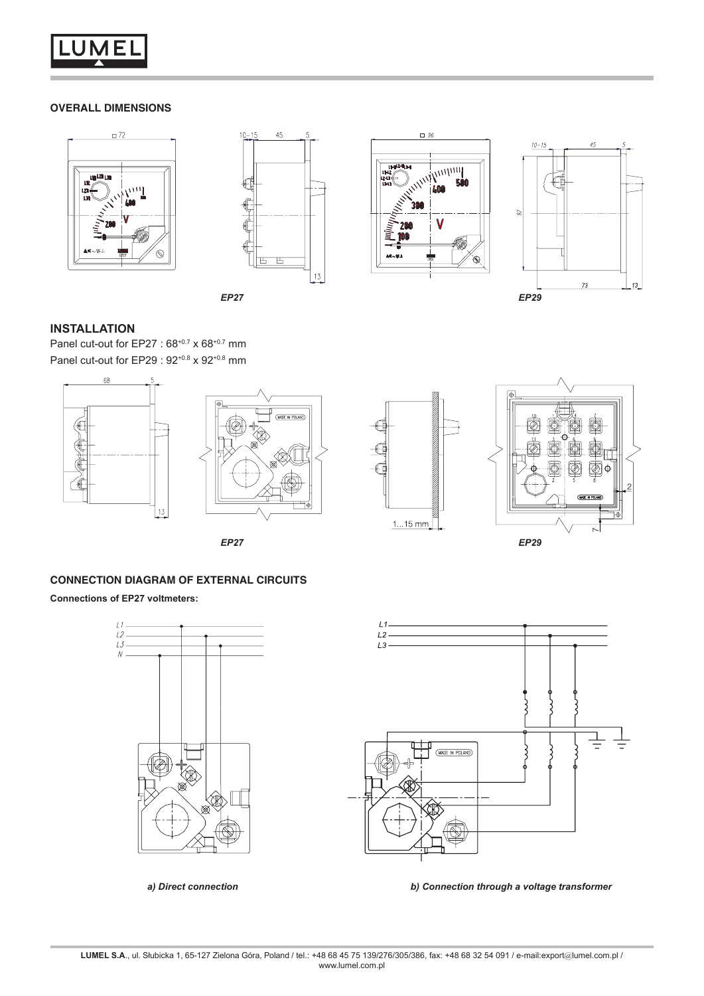

## **OVERALL DIMENSIONS**









## **INSTALLATION**

Panel cut-out for EP27 :  $68^{+0.7}$  x  $68^{+0.7}$  mm Panel cut-out for EP29 : 92<sup>+0.8</sup> x 92<sup>+0.8</sup> mm







# **CONNECTION DIAGRAM OF EXTERNAL CIRCUITS**

**Connections of EP27 voltmeters:**





*a) Direct connection b) Connection through a voltage transformer*